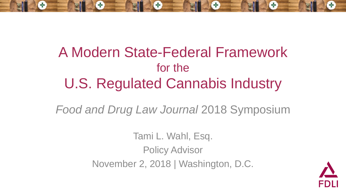

### A Modern State-Federal Framework for the U.S. Regulated Cannabis Industry

*Food and Drug Law Journal* 2018 Symposium

Tami L. Wahl, Esq. Policy Advisor November 2, 2018 | Washington, D.C.

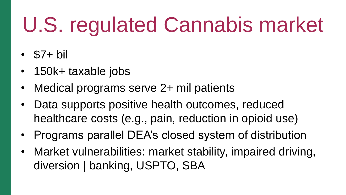# U.S. regulated Cannabis market

- $\cdot$  \$7+ bil
- 150k+ taxable jobs
- Medical programs serve 2+ mil patients
- Data supports positive health outcomes, reduced healthcare costs (e.g., pain, reduction in opioid use)
- Programs parallel DEA's closed system of distribution
- Market vulnerabilities: market stability, impaired driving, diversion | banking, USPTO, SBA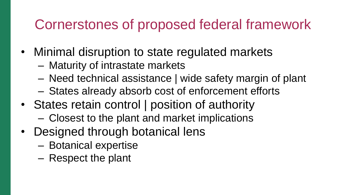#### Cornerstones of proposed federal framework

- Minimal disruption to state regulated markets
	- Maturity of intrastate markets
	- Need technical assistance | wide safety margin of plant
	- States already absorb cost of enforcement efforts
- States retain control | position of authority
	- Closest to the plant and market implications
- Designed through botanical lens
	- Botanical expertise
	- Respect the plant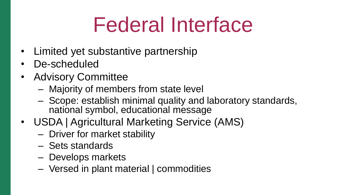### Federal Interface

- Limited yet substantive partnership
- De-scheduled
- Advisory Committee
	- Majority of members from state level
	- Scope: establish minimal quality and laboratory standards, national symbol, educational message
- USDA | Agricultural Marketing Service (AMS)
	- Driver for market stability
	- Sets standards
	- Develops markets
	- Versed in plant material | commodities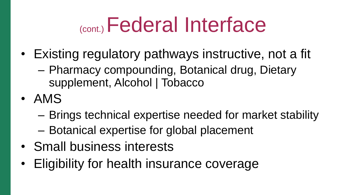### (cont.) Federal Interface

- Existing regulatory pathways instructive, not a fit
	- Pharmacy compounding, Botanical drug, Dietary supplement, Alcohol | Tobacco
- AMS
	- Brings technical expertise needed for market stability
	- Botanical expertise for global placement
- Small business interests
- Eligibility for health insurance coverage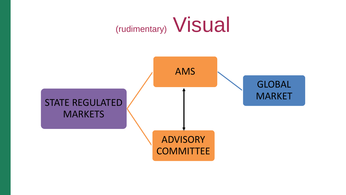